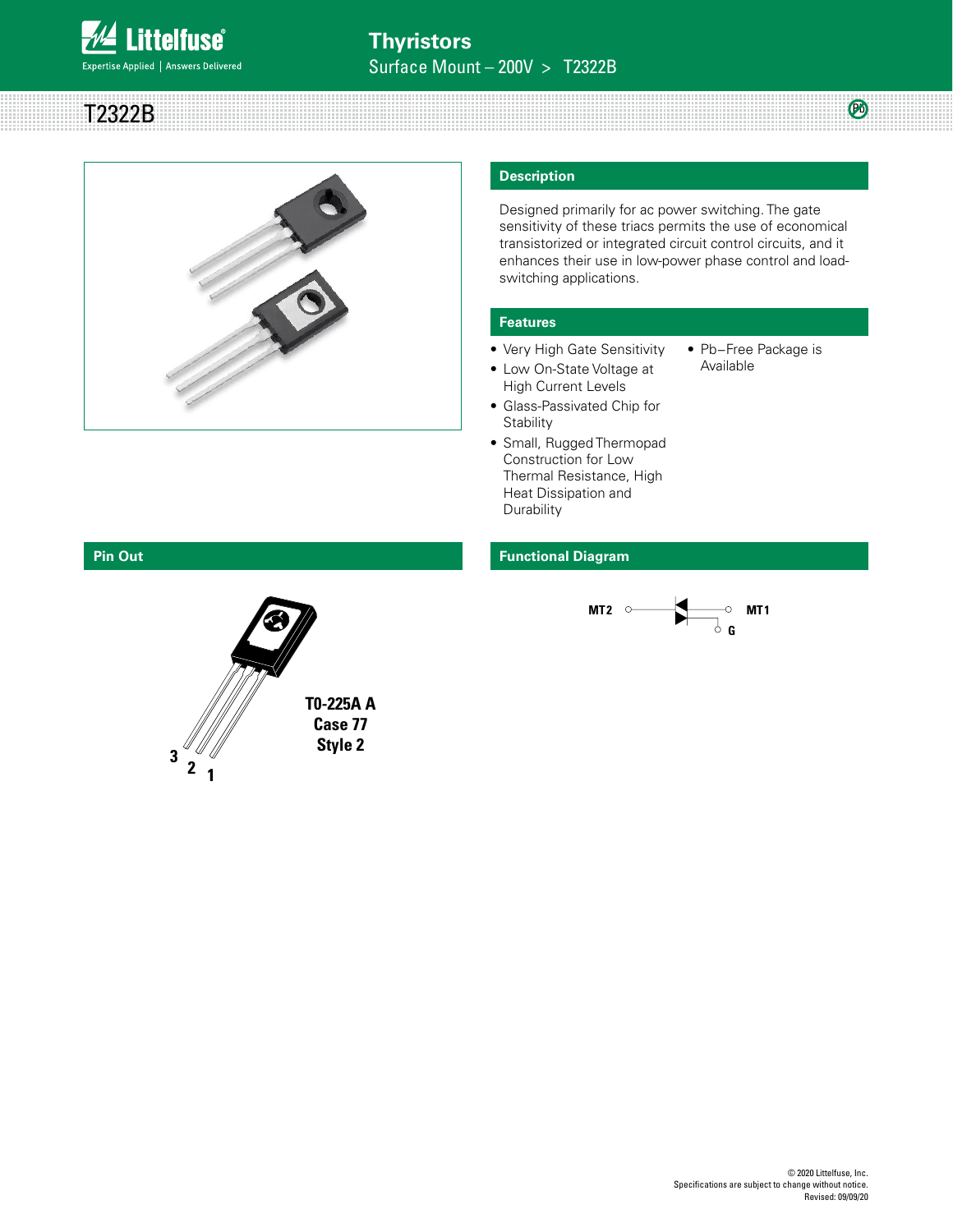

T2322B



#### **Description**

Designed primarily for ac power switching. The gate sensitivity of these triacs permits the use of economical transistorized or integrated circuit control circuits, and it enhances their use in low-power phase control and loadswitching applications.

#### **Features**

- Very High Gate Sensitivity
- Pb−Free Package is Available

 $(P_0)$ 

- High Current Levels • Glass-Passivated Chip for
	- **Stability**
- Small, Rugged Thermopad Construction for Low Thermal Resistance, High Heat Dissipation and **Durability**

#### **Pin Out Functional Diagram**



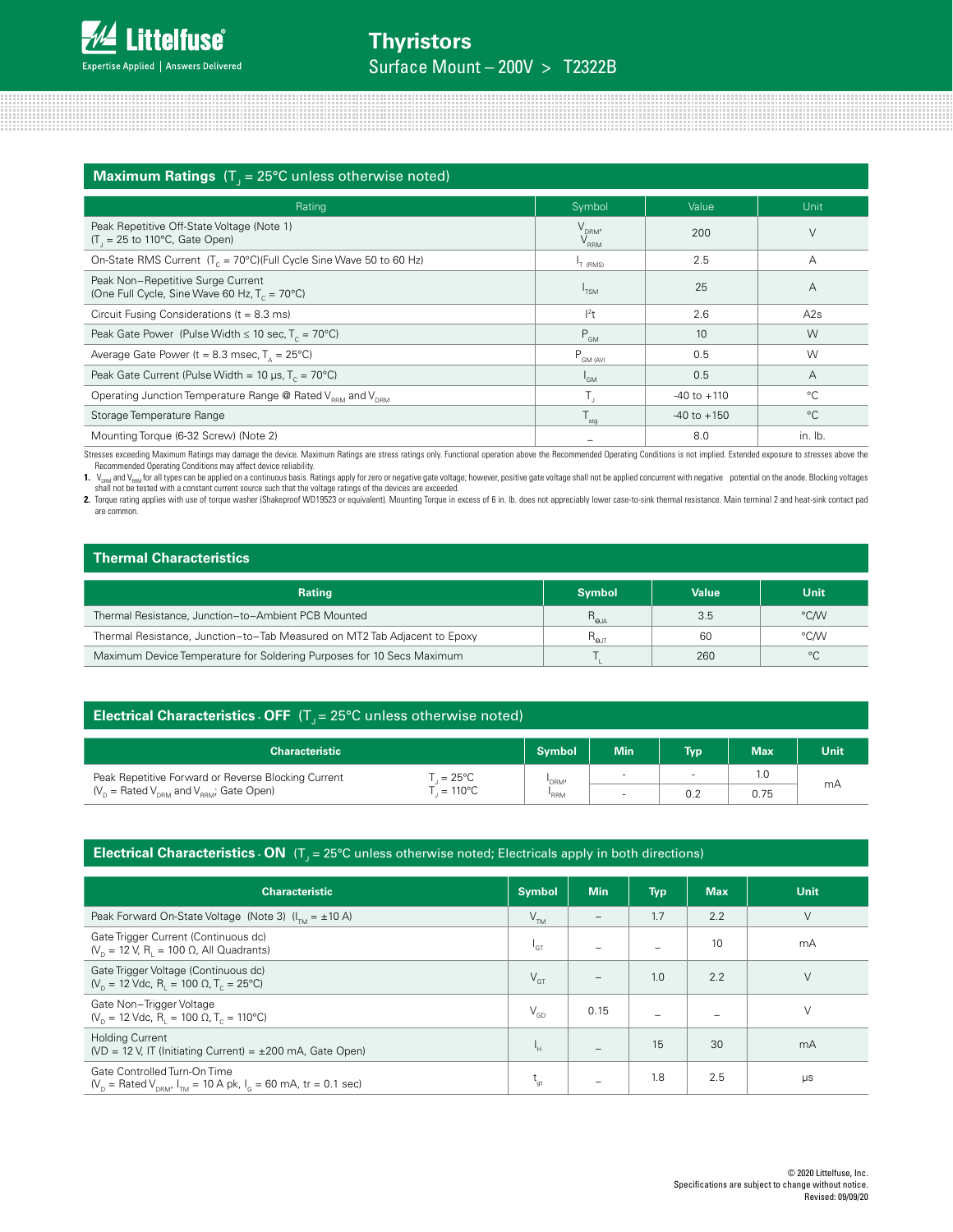| <b>Maximum Ratings</b> $(T_1 = 25^{\circ}C$ unless otherwise noted)                          |                         |                 |                |  |  |
|----------------------------------------------------------------------------------------------|-------------------------|-----------------|----------------|--|--|
| Rating                                                                                       | Symbol                  | Value           | Unit           |  |  |
| Peak Repetitive Off-State Voltage (Note 1)<br>$(T1 = 25$ to 110°C, Gate Open)                | $V_{DRM'}$<br>$V_{RRM}$ | 200             | V              |  |  |
| On-State RMS Current $(T_c = 70^{\circ}C)(Full Cycle Sine Wave 50 to 60 Hz)$                 | T (RMS)                 | 2.5             | А              |  |  |
| Peak Non-Repetitive Surge Current<br>(One Full Cycle, Sine Wave 60 Hz, $T_c = 70^{\circ}$ C) | I <sub>TSM</sub>        | 25              | $\overline{A}$ |  |  |
| Circuit Fusing Considerations ( $t = 8.3$ ms)                                                | $ ^{2}t$                | 2.6             | A2s            |  |  |
| Peak Gate Power (Pulse Width $\leq 10$ sec, T <sub>c</sub> = 70°C)                           | $P_{GM}$                | 10              | W              |  |  |
| Average Gate Power ( $t = 8.3$ msec, $T_a = 25^{\circ}$ C)                                   | $P_{GM (AV)}$           | 0.5             | W              |  |  |
| Peak Gate Current (Pulse Width = 10 $\mu$ s, T <sub>c</sub> = 70°C)                          | <sup>I</sup> GM         | 0.5             | A              |  |  |
| Operating Junction Temperature Range @ Rated V <sub>RRM</sub> and V <sub>DRM</sub>           | $T_{\rm j}$             | $-40$ to $+110$ | $^{\circ}C$    |  |  |
| Storage Temperature Range                                                                    | $T_{\rm stg}$           | $-40$ to $+150$ | $^{\circ}C$    |  |  |
| Mounting Torque (6-32 Screw) (Note 2)                                                        |                         | 8.0             | in. lb.        |  |  |

Stresses exceeding Maximum Ratings may damage the device. Maximum Ratings are stress ratings only. Functional operation above the Recommended Operating Conditions is not implied. Extended exposure to stresses above the<br>Rec

are common.

### **Thermal Characteristics**

| THEITHAI UNAIAUCH SUUS                                                    |                 |       |             |  |  |
|---------------------------------------------------------------------------|-----------------|-------|-------------|--|--|
| <b>Rating</b>                                                             | <b>Symbol</b>   | Value | <b>Unit</b> |  |  |
| Thermal Resistance, Junction-to-Ambient PCB Mounted                       | $R_{\rm q,a}$   | 3.5   | °C/W        |  |  |
| Thermal Resistance, Junction-to-Tab Measured on MT2 Tab Adjacent to Epoxy | $R_{\text{el}}$ | 60    | °C∕W        |  |  |
| Maximum Device Temperature for Soldering Purposes for 10 Secs Maximum     |                 | 260   | $^{\circ}C$ |  |  |

#### **Electrical Characteristics - OFF**  $(T<sub>J</sub> = 25^{\circ}C$  unless otherwise noted)

| <b>Characteristic</b>                                                                                        | <b>Symbol</b> | Min'   | <b>Typ</b> | <b>Max</b> | <b>Unit</b> |
|--------------------------------------------------------------------------------------------------------------|---------------|--------|------------|------------|-------------|
| Peak Repetitive Forward or Reverse Blocking Current<br>$=25^{\circ}$ C                                       | 'DRM'         | $\sim$ |            | 1.C        |             |
| $(V_{\text{p}} = \text{Rated } V_{\text{prem}}$ and $V_{\text{prem}}$ ; Gate Open)<br>$110^{\circ}$ C<br>$=$ | 'RRM          |        | 0.2        | 0.75       | mA          |

## **Electrical Characteristics - ON** (T<sub>J</sub> = 25°C unless otherwise noted; Electricals apply in both directions)

| <b>Characteristic</b>                                                                                                                          | <b>Symbol</b>   | <b>Min</b>               | <b>Typ</b>               | <b>Max</b> | Unit    |
|------------------------------------------------------------------------------------------------------------------------------------------------|-----------------|--------------------------|--------------------------|------------|---------|
| Peak Forward On-State Voltage (Note 3) $(ITM = ±10 A)$                                                                                         | V <sub>TM</sub> | $\overline{\phantom{m}}$ | 1.7                      | 2.2        | $\vee$  |
| Gate Trigger Current (Continuous dc)<br>$(V_{p} = 12 V, R_{i} = 100 \Omega,$ All Quadrants)                                                    | $^1$ GT         |                          | -                        | 10         | mA      |
| Gate Trigger Voltage (Continuous dc)<br>$(V_p = 12$ Vdc, R <sub>1</sub> = 100 $\Omega$ , T <sub>c</sub> = 25°C)                                | $V_{\text{GT}}$ | $\overline{\phantom{a}}$ | 1.0                      | 2.2        | $\vee$  |
| Gate Non-Trigger Voltage<br>$(V_{p} = 12$ Vdc, R <sub>1</sub> = 100 $\Omega$ , T <sub>c</sub> = 110°C)                                         | $V_{GD}$        | 0.15                     | $\overline{\phantom{0}}$ |            | $\vee$  |
| <b>Holding Current</b><br>(VD = 12 V, IT (Initiating Current) = $\pm 200$ mA, Gate Open)                                                       | Ч.              |                          | 15                       | 30         | mA      |
| Gate Controlled Turn-On Time<br>$(V_{p} = \text{Rated } V_{pBM}  _{TM} = 10 \text{ A pk},  _{c} = 60 \text{ mA}, \text{ tr} = 0.1 \text{ sec}$ | $L_{gt}$        | -                        | 1.8                      | 2.5        | $\mu s$ |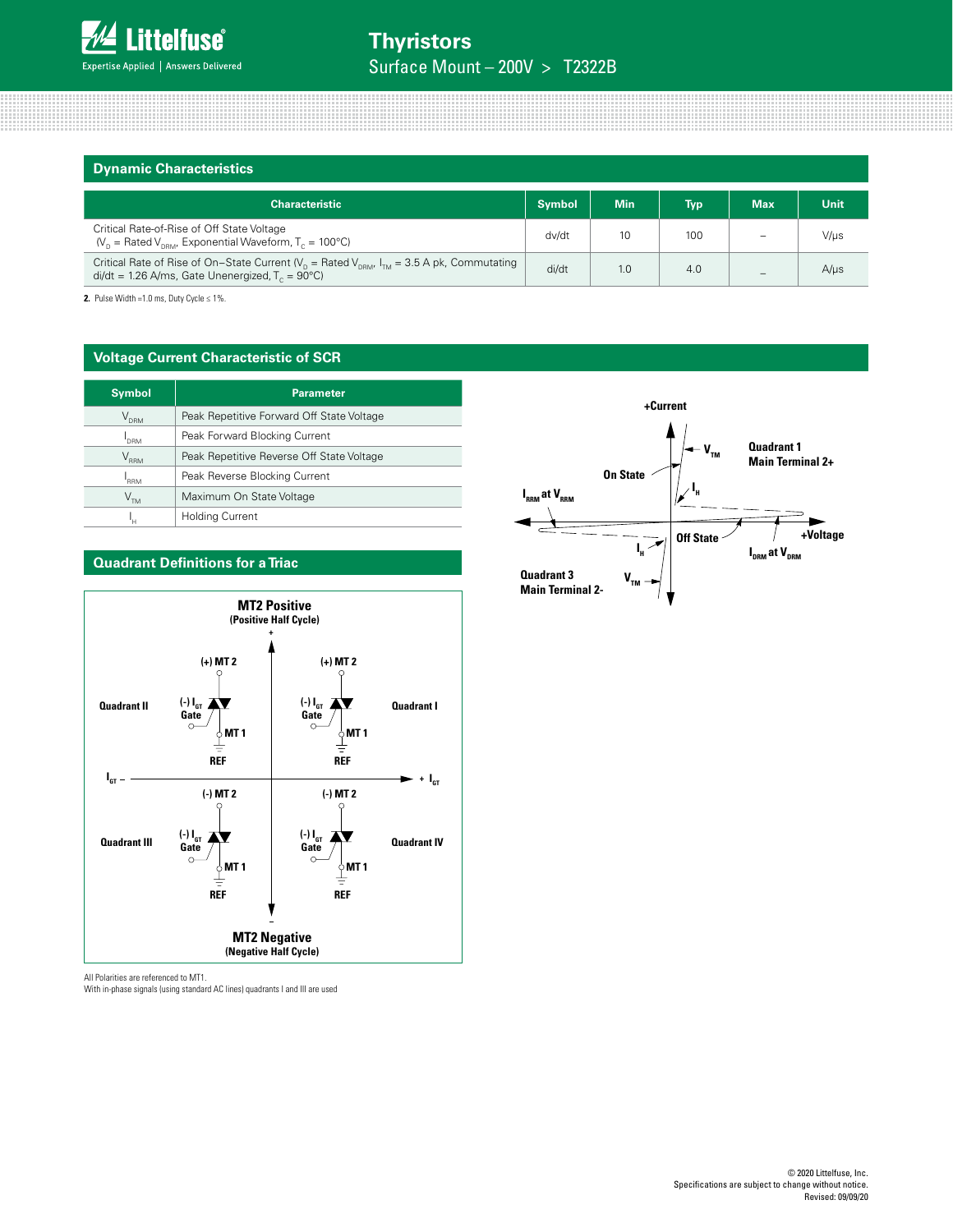| <b>Dynamic Characteristics</b>                                                                                                                                        |               |            |            |            |             |
|-----------------------------------------------------------------------------------------------------------------------------------------------------------------------|---------------|------------|------------|------------|-------------|
| <b>Characteristic</b>                                                                                                                                                 | <b>Symbol</b> | <b>Min</b> | <b>Typ</b> | <b>Max</b> | <b>Unit</b> |
| Critical Rate-of-Rise of Off State Voltage<br>$(V_{p} =$ Rated V <sub>peM</sub> , Exponential Waveform, T <sub>c</sub> = 100°C)                                       | dv/dt         | 10         | 100        |            | $V/\mu s$   |
| Critical Rate of Rise of On-State Current ( $V_p$ = Rated $V_{pRM'}$ $I_{TM}$ = 3.5 A pk, Commutating<br>$di/dt = 1.26$ A/ms, Gate Unenergized, $T_c = 90^{\circ}$ C) |               | 1.0        | 4.0        |            | $A/\mu s$   |

**2.** Pulse Width =1.0 ms, Duty Cycle  $\leq 1\%$ .

#### **Voltage Current Characteristic of SCR**

| <b>Symbol</b>               | <b>Parameter</b>                          |
|-----------------------------|-------------------------------------------|
| $\mathsf{V}_{\mathsf{dRM}}$ | Peak Repetitive Forward Off State Voltage |
| <b>DRM</b>                  | Peak Forward Blocking Current             |
| $\rm V_{_{RRM}}$            | Peak Repetitive Reverse Off State Voltage |
| <b>RRM</b>                  | Peak Reverse Blocking Current             |
| V <sub>TM</sub>             | Maximum On State Voltage                  |
| 'н                          | <b>Holding Current</b>                    |



#### **Quadrant Definitions for a Triac**

All Polarities are referenced to MT1.

With in-phase signals (using standard AC lines) quadrants I and III are used